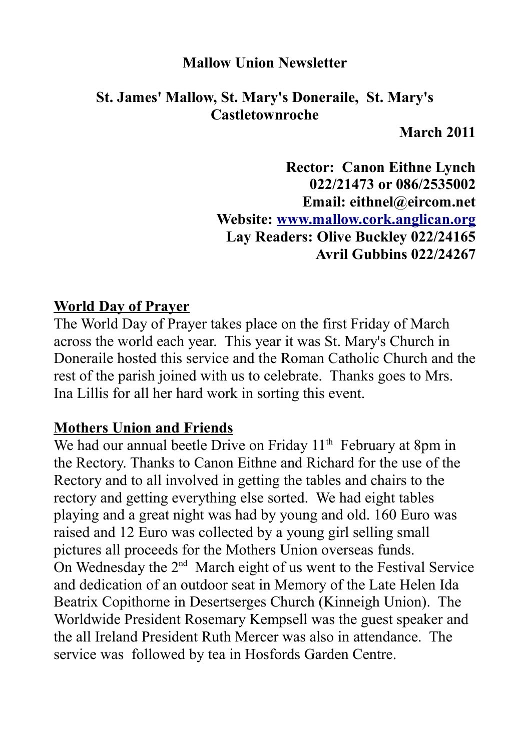### **Mallow Union Newsletter**

### **St. James' Mallow, St. Mary's Doneraile, St. Mary's Castletownroche**

**March 2011**

**Rector: Canon Eithne Lynch 022/21473 or 086/2535002 Email: eithnel@eircom.net Website: [www.mallow.cork.anglican.org](http://www.mallow.cork.anglican.org/) Lay Readers: Olive Buckley 022/24165 Avril Gubbins 022/24267**

### **World Day of Prayer**

The World Day of Prayer takes place on the first Friday of March across the world each year. This year it was St. Mary's Church in Doneraile hosted this service and the Roman Catholic Church and the rest of the parish joined with us to celebrate. Thanks goes to Mrs. Ina Lillis for all her hard work in sorting this event.

### **Mothers Union and Friends**

We had our annual beetle Drive on Friday 11<sup>th</sup> February at 8pm in the Rectory. Thanks to Canon Eithne and Richard for the use of the Rectory and to all involved in getting the tables and chairs to the rectory and getting everything else sorted. We had eight tables playing and a great night was had by young and old. 160 Euro was raised and 12 Euro was collected by a young girl selling small pictures all proceeds for the Mothers Union overseas funds. On Wednesday the  $2<sup>nd</sup>$  March eight of us went to the Festival Service and dedication of an outdoor seat in Memory of the Late Helen Ida Beatrix Copithorne in Desertserges Church (Kinneigh Union). The Worldwide President Rosemary Kempsell was the guest speaker and the all Ireland President Ruth Mercer was also in attendance. The service was followed by tea in Hosfords Garden Centre.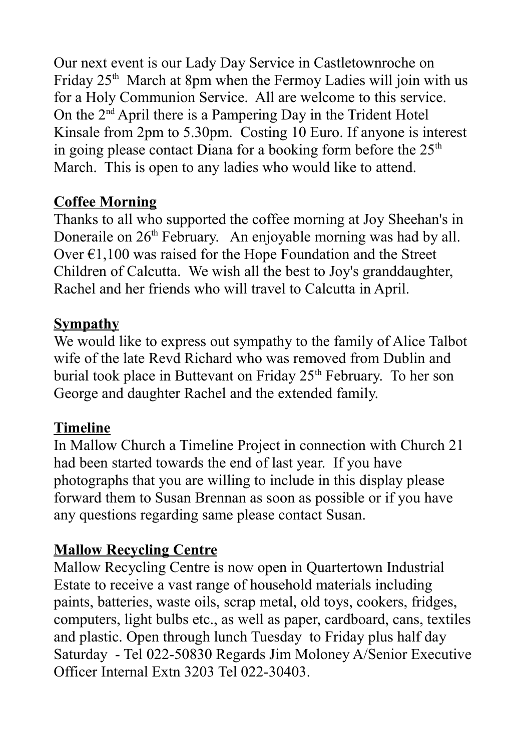Our next event is our Lady Day Service in Castletownroche on Friday  $25<sup>th</sup>$  March at 8pm when the Fermoy Ladies will join with us for a Holy Communion Service. All are welcome to this service. On the  $2<sup>nd</sup>$  April there is a Pampering Day in the Trident Hotel Kinsale from 2pm to 5.30pm. Costing 10 Euro. If anyone is interest in going please contact Diana for a booking form before the  $25<sup>th</sup>$ March. This is open to any ladies who would like to attend.

# **Coffee Morning**

Thanks to all who supported the coffee morning at Joy Sheehan's in Doneraile on  $26<sup>th</sup>$  February. An enjoyable morning was had by all. Over €1,100 was raised for the Hope Foundation and the Street Children of Calcutta. We wish all the best to Joy's granddaughter, Rachel and her friends who will travel to Calcutta in April.

## **Sympathy**

We would like to express out sympathy to the family of Alice Talbot wife of the late Revd Richard who was removed from Dublin and burial took place in Buttevant on Friday 25<sup>th</sup> February. To her son George and daughter Rachel and the extended family.

## **Timeline**

In Mallow Church a Timeline Project in connection with Church 21 had been started towards the end of last year. If you have photographs that you are willing to include in this display please forward them to Susan Brennan as soon as possible or if you have any questions regarding same please contact Susan.

# **Mallow Recycling Centre**

Mallow Recycling Centre is now open in Quartertown Industrial Estate to receive a vast range of household materials including paints, batteries, waste oils, scrap metal, old toys, cookers, fridges, computers, light bulbs etc., as well as paper, cardboard, cans, textiles and plastic. Open through lunch Tuesday to Friday plus half day Saturday - Tel 022-50830 Regards Jim Moloney A/Senior Executive Officer Internal Extn 3203 Tel 022-30403.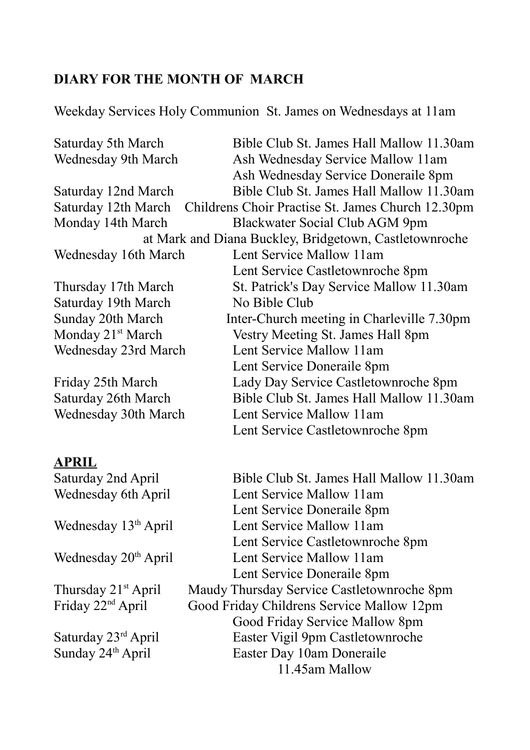# **DIARY FOR THE MONTH OF MARCH**

Weekday Services Holy Communion St. James on Wednesdays at 11am

| Saturday 5th March<br>Wednesday 9th March                                | Bible Club St. James Hall Mallow 11.30am<br>Ash Wednesday Service Mallow 11am<br>Ash Wednesday Service Doneraile 8pm |  |
|--------------------------------------------------------------------------|----------------------------------------------------------------------------------------------------------------------|--|
| Saturday 12nd March                                                      | Bible Club St. James Hall Mallow 11.30am                                                                             |  |
| Childrens Choir Practise St. James Church 12.30pm<br>Saturday 12th March |                                                                                                                      |  |
| Monday 14th March<br>Blackwater Social Club AGM 9pm                      |                                                                                                                      |  |
| at Mark and Diana Buckley, Bridgetown, Castletownroche                   |                                                                                                                      |  |
| Wednesday 16th March                                                     | Lent Service Mallow 11am                                                                                             |  |
|                                                                          | Lent Service Castletownroche 8pm                                                                                     |  |
| Thursday 17th March                                                      | St. Patrick's Day Service Mallow 11.30am                                                                             |  |
| Saturday 19th March<br>No Bible Club                                     |                                                                                                                      |  |
| Sunday 20th March<br>Inter-Church meeting in Charleville 7.30pm          |                                                                                                                      |  |
| Monday 21 <sup>st</sup> March                                            | Vestry Meeting St. James Hall 8pm                                                                                    |  |
| Wednesday 23rd March                                                     | Lent Service Mallow 11am                                                                                             |  |
|                                                                          | Lent Service Doneraile 8pm                                                                                           |  |
| Friday 25th March                                                        | Lady Day Service Castletownroche 8pm                                                                                 |  |
| Saturday 26th March                                                      | Bible Club St. James Hall Mallow 11.30am                                                                             |  |
| Wednesday 30th March                                                     | Lent Service Mallow 11am                                                                                             |  |
|                                                                          | Lent Service Castletownroche 8pm                                                                                     |  |
| <b>APRIL</b>                                                             |                                                                                                                      |  |
| Saturday 2nd April                                                       | Bible Club St. James Hall Mallow 11.30am                                                                             |  |
| Wednesday 6th April                                                      | Lent Service Mallow 11am                                                                                             |  |
|                                                                          | Lent Service Doneraile 8pm                                                                                           |  |
| Wednesday 13 <sup>th</sup> April                                         | Lent Service Mallow 11am                                                                                             |  |
|                                                                          | Lent Service Castletownroche 8pm                                                                                     |  |
| Wednesday 20 <sup>th</sup> April                                         | Lent Service Mallow 11am                                                                                             |  |
|                                                                          | Lent Service Doneraile 8pm                                                                                           |  |
| Thursday 21 <sup>st</sup> April                                          | Maudy Thursday Service Castletownroche 8pm                                                                           |  |
| Friday 22 <sup>nd</sup> April                                            | Good Friday Childrens Service Mallow 12pm                                                                            |  |
|                                                                          | Good Friday Service Mallow 8pm                                                                                       |  |
| Saturday 23rd April                                                      | Easter Vigil 9pm Castletownroche                                                                                     |  |
| Sunday 24 <sup>th</sup> April                                            | Easter Day 10am Doneraile                                                                                            |  |
|                                                                          | 11.45am Mallow                                                                                                       |  |
|                                                                          |                                                                                                                      |  |